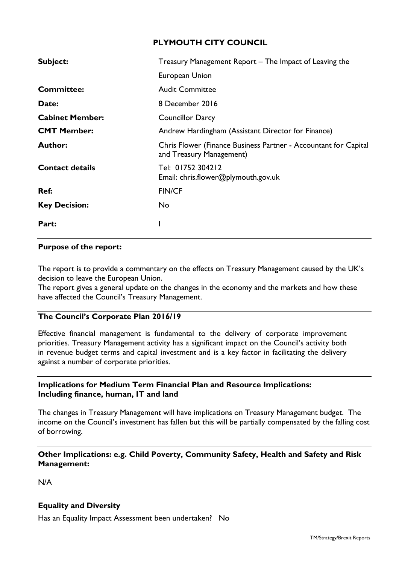## **PLYMOUTH CITY COUNCIL**

| Subject:               | Treasury Management Report - The Impact of Leaving the                                      |  |  |  |  |  |
|------------------------|---------------------------------------------------------------------------------------------|--|--|--|--|--|
|                        | European Union                                                                              |  |  |  |  |  |
| <b>Committee:</b>      | <b>Audit Committee</b>                                                                      |  |  |  |  |  |
| Date:                  | 8 December 2016                                                                             |  |  |  |  |  |
| <b>Cabinet Member:</b> | <b>Councillor Darcy</b>                                                                     |  |  |  |  |  |
| <b>CMT Member:</b>     | Andrew Hardingham (Assistant Director for Finance)                                          |  |  |  |  |  |
| <b>Author:</b>         | Chris Flower (Finance Business Partner - Accountant for Capital<br>and Treasury Management) |  |  |  |  |  |
| <b>Contact details</b> | Tel: 01752 304212<br>Email: chris.flower@plymouth.gov.uk                                    |  |  |  |  |  |
| Ref:                   | <b>FIN/CF</b>                                                                               |  |  |  |  |  |
| <b>Key Decision:</b>   | No                                                                                          |  |  |  |  |  |
| Part:                  |                                                                                             |  |  |  |  |  |

#### **Purpose of the report:**

The report is to provide a commentary on the effects on Treasury Management caused by the UK's decision to leave the European Union.

The report gives a general update on the changes in the economy and the markets and how these have affected the Council's Treasury Management.

## **The Council's Corporate Plan 2016/19**

Effective financial management is fundamental to the delivery of corporate improvement priorities. Treasury Management activity has a significant impact on the Council's activity both in revenue budget terms and capital investment and is a key factor in facilitating the delivery against a number of corporate priorities.

#### **Implications for Medium Term Financial Plan and Resource Implications: Including finance, human, IT and land**

The changes in Treasury Management will have implications on Treasury Management budget. The income on the Council's investment has fallen but this will be partially compensated by the falling cost of borrowing.

## **Other Implications: e.g. Child Poverty, Community Safety, Health and Safety and Risk Management:**

N/A

## **Equality and Diversity**

Has an Equality Impact Assessment been undertaken? No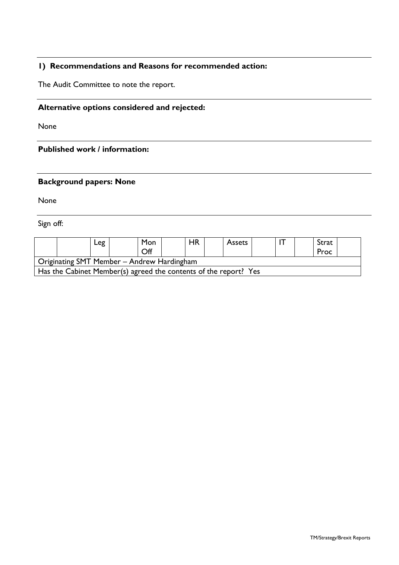# **1) Recommendations and Reasons for recommended action:**

The Audit Committee to note the report.

## **Alternative options considered and rejected:**

None

#### **Published work / information:**

# **Background papers: None**

None

Sign off:

|                                                                  |  | Leg | Mon<br>Off |  | <b>HR</b> | <b>Assets</b> |  |  |  | Strat<br>Proc |  |
|------------------------------------------------------------------|--|-----|------------|--|-----------|---------------|--|--|--|---------------|--|
| Originating SMT Member - Andrew Hardingham                       |  |     |            |  |           |               |  |  |  |               |  |
| Has the Cabinet Member(s) agreed the contents of the report? Yes |  |     |            |  |           |               |  |  |  |               |  |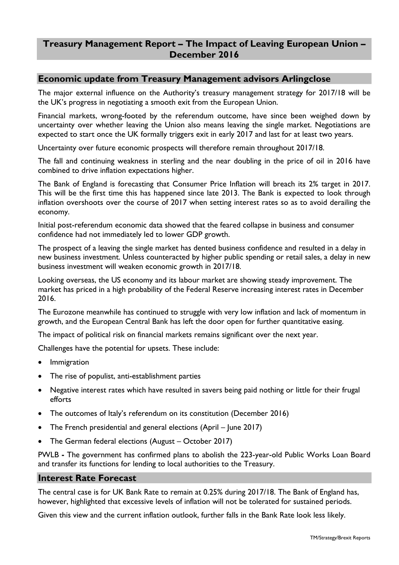# **Treasury Management Report – The Impact of Leaving European Union – December 2016**

## **Economic update from Treasury Management advisors Arlingclose**

The major external influence on the Authority's treasury management strategy for 2017/18 will be the UK's progress in negotiating a smooth exit from the European Union.

Financial markets, wrong-footed by the referendum outcome, have since been weighed down by uncertainty over whether leaving the Union also means leaving the single market. Negotiations are expected to start once the UK formally triggers exit in early 2017 and last for at least two years.

Uncertainty over future economic prospects will therefore remain throughout 2017/18.

The fall and continuing weakness in sterling and the near doubling in the price of oil in 2016 have combined to drive inflation expectations higher.

The Bank of England is forecasting that Consumer Price Inflation will breach its 2% target in 2017. This will be the first time this has happened since late 2013. The Bank is expected to look through inflation overshoots over the course of 2017 when setting interest rates so as to avoid derailing the economy.

Initial post-referendum economic data showed that the feared collapse in business and consumer confidence had not immediately led to lower GDP growth.

The prospect of a leaving the single market has dented business confidence and resulted in a delay in new business investment. Unless counteracted by higher public spending or retail sales, a delay in new business investment will weaken economic growth in 2017/18.

Looking overseas, the US economy and its labour market are showing steady improvement. The market has priced in a high probability of the Federal Reserve increasing interest rates in December 2016.

The Eurozone meanwhile has continued to struggle with very low inflation and lack of momentum in growth, and the European Central Bank has left the door open for further quantitative easing.

The impact of political risk on financial markets remains significant over the next year.

Challenges have the potential for upsets. These include:

- Immigration
- The rise of populist, anti-establishment parties
- Negative interest rates which have resulted in savers being paid nothing or little for their frugal efforts
- The outcomes of Italy's referendum on its constitution (December 2016)
- The French presidential and general elections (April June 2017)
- The German federal elections (August October 2017)

PWLB **-** The government has confirmed plans to abolish the 223-year-old Public Works Loan Board and transfer its functions for lending to local authorities to the Treasury.

#### **Interest Rate Forecast**

The central case is for UK Bank Rate to remain at 0.25% during 2017/18. The Bank of England has, however, highlighted that excessive levels of inflation will not be tolerated for sustained periods.

Given this view and the current inflation outlook, further falls in the Bank Rate look less likely.